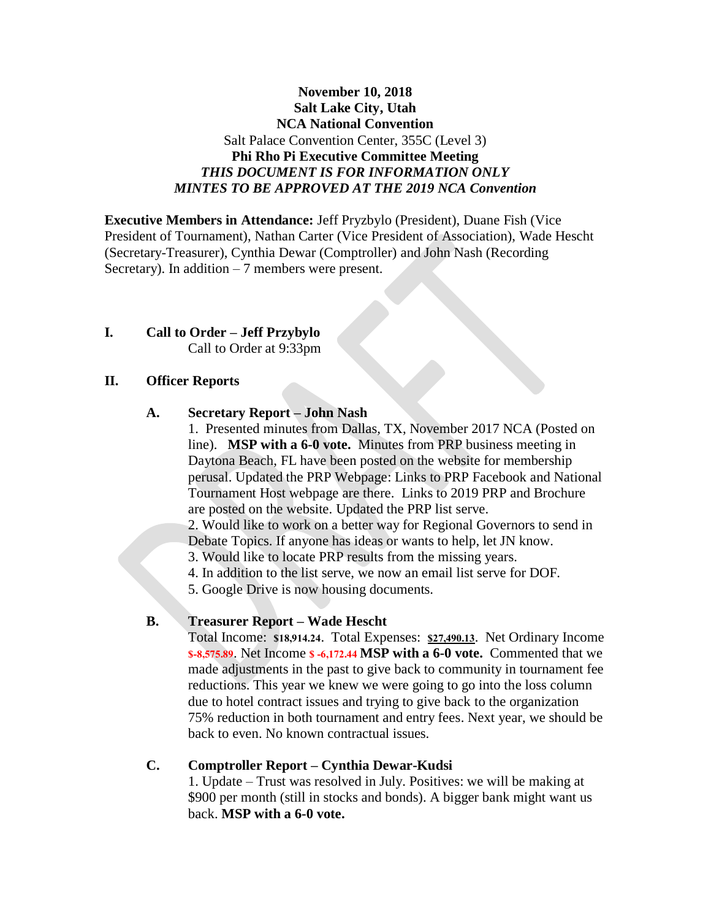### **November 10, 2018 Salt Lake City, Utah NCA National Convention** Salt Palace Convention Center, 355C (Level 3) **Phi Rho Pi Executive Committee Meeting** *THIS DOCUMENT IS FOR INFORMATION ONLY MINTES TO BE APPROVED AT THE 2019 NCA Convention*

**Executive Members in Attendance:** Jeff Pryzbylo (President), Duane Fish (Vice President of Tournament), Nathan Carter (Vice President of Association), Wade Hescht (Secretary-Treasurer), Cynthia Dewar (Comptroller) and John Nash (Recording Secretary). In addition  $-7$  members were present.

#### **I. Call to Order – Jeff Przybylo** Call to Order at 9:33pm

#### **II. Officer Reports**

#### **A. Secretary Report – John Nash**

1. Presented minutes from Dallas, TX, November 2017 NCA (Posted on line). **MSP with a 6-0 vote.** Minutes from PRP business meeting in Daytona Beach, FL have been posted on the website for membership perusal. Updated the PRP Webpage: Links to PRP Facebook and National Tournament Host webpage are there. Links to 2019 PRP and Brochure are posted on the website. Updated the PRP list serve.

2. Would like to work on a better way for Regional Governors to send in Debate Topics. If anyone has ideas or wants to help, let JN know.

3. Would like to locate PRP results from the missing years.

4. In addition to the list serve, we now an email list serve for DOF.

5. Google Drive is now housing documents.

#### **B. Treasurer Report – Wade Hescht**

Total Income: **\$18,914.24**. Total Expenses: **\$27,490.13**. Net Ordinary Income **\$-8,575.89**. Net Income **\$ -6,172.44 MSP with a 6-0 vote.** Commented that we made adjustments in the past to give back to community in tournament fee reductions. This year we knew we were going to go into the loss column due to hotel contract issues and trying to give back to the organization 75% reduction in both tournament and entry fees. Next year, we should be back to even. No known contractual issues.

#### **C. Comptroller Report – Cynthia Dewar-Kudsi**

1. Update – Trust was resolved in July. Positives: we will be making at \$900 per month (still in stocks and bonds). A bigger bank might want us back. **MSP with a 6-0 vote.**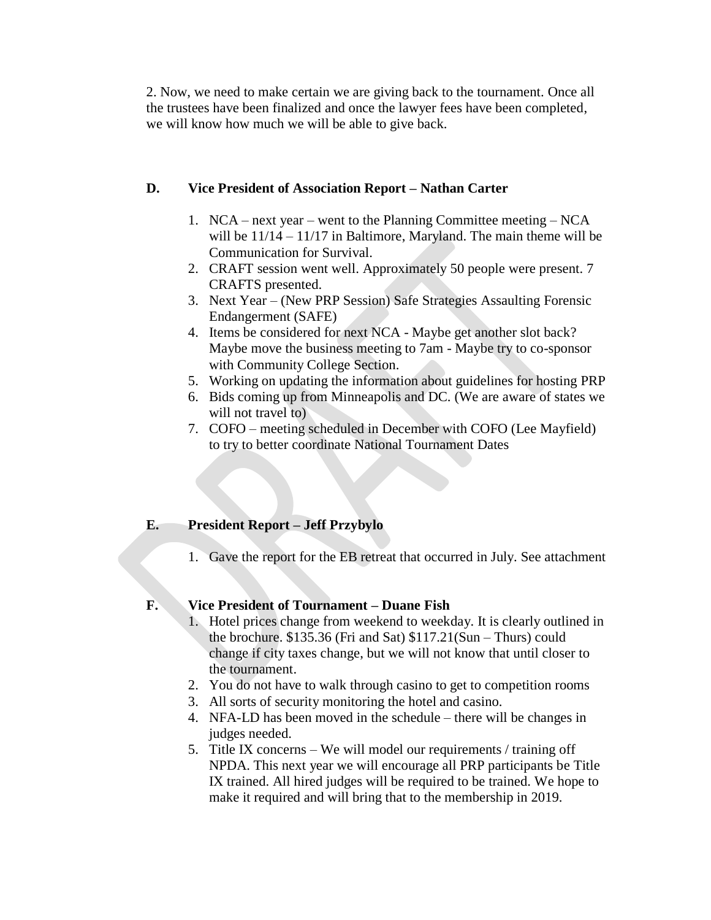2. Now, we need to make certain we are giving back to the tournament. Once all the trustees have been finalized and once the lawyer fees have been completed, we will know how much we will be able to give back.

#### **D. Vice President of Association Report – Nathan Carter**

- 1. NCA next year went to the Planning Committee meeting NCA will be  $11/14 - 11/17$  in Baltimore, Maryland. The main theme will be Communication for Survival.
- 2. CRAFT session went well. Approximately 50 people were present. 7 CRAFTS presented.
- 3. Next Year (New PRP Session) Safe Strategies Assaulting Forensic Endangerment (SAFE)
- 4. Items be considered for next NCA Maybe get another slot back? Maybe move the business meeting to 7am - Maybe try to co-sponsor with Community College Section.
- 5. Working on updating the information about guidelines for hosting PRP
- 6. Bids coming up from Minneapolis and DC. (We are aware of states we will not travel to
- 7. COFO meeting scheduled in December with COFO (Lee Mayfield) to try to better coordinate National Tournament Dates

### **E. President Report – Jeff Przybylo**

1. Gave the report for the EB retreat that occurred in July. See attachment

### **F. Vice President of Tournament – Duane Fish**

- 1. Hotel prices change from weekend to weekday. It is clearly outlined in the brochure. \$135.36 (Fri and Sat) \$117.21(Sun – Thurs) could change if city taxes change, but we will not know that until closer to the tournament.
- 2. You do not have to walk through casino to get to competition rooms
- 3. All sorts of security monitoring the hotel and casino.
- 4. NFA-LD has been moved in the schedule there will be changes in judges needed.
- 5. Title IX concerns We will model our requirements / training off NPDA. This next year we will encourage all PRP participants be Title IX trained. All hired judges will be required to be trained. We hope to make it required and will bring that to the membership in 2019.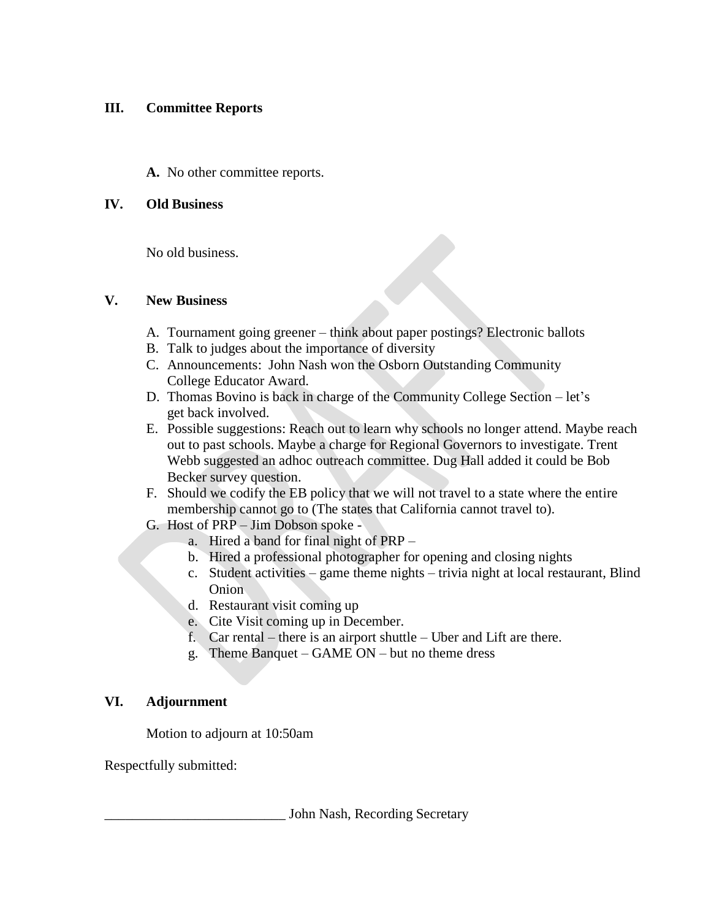### **III. Committee Reports**

**A.** No other committee reports.

### **IV. Old Business**

No old business.

### **V. New Business**

- A. Tournament going greener think about paper postings? Electronic ballots
- B. Talk to judges about the importance of diversity
- C. Announcements: John Nash won the Osborn Outstanding Community College Educator Award.
- D. Thomas Bovino is back in charge of the Community College Section let's get back involved.
- E. Possible suggestions: Reach out to learn why schools no longer attend. Maybe reach out to past schools. Maybe a charge for Regional Governors to investigate. Trent Webb suggested an adhoc outreach committee. Dug Hall added it could be Bob Becker survey question.
- F. Should we codify the EB policy that we will not travel to a state where the entire membership cannot go to (The states that California cannot travel to).
- G. Host of PRP Jim Dobson spoke
	- a. Hired a band for final night of PRP –
	- b. Hired a professional photographer for opening and closing nights
	- c. Student activities game theme nights trivia night at local restaurant, Blind Onion
	- d. Restaurant visit coming up
	- e. Cite Visit coming up in December.
	- f. Car rental there is an airport shuttle Uber and Lift are there.
	- g. Theme Banquet GAME ON but no theme dress

## **VI. Adjournment**

Motion to adjourn at 10:50am

Respectfully submitted:

John Nash, Recording Secretary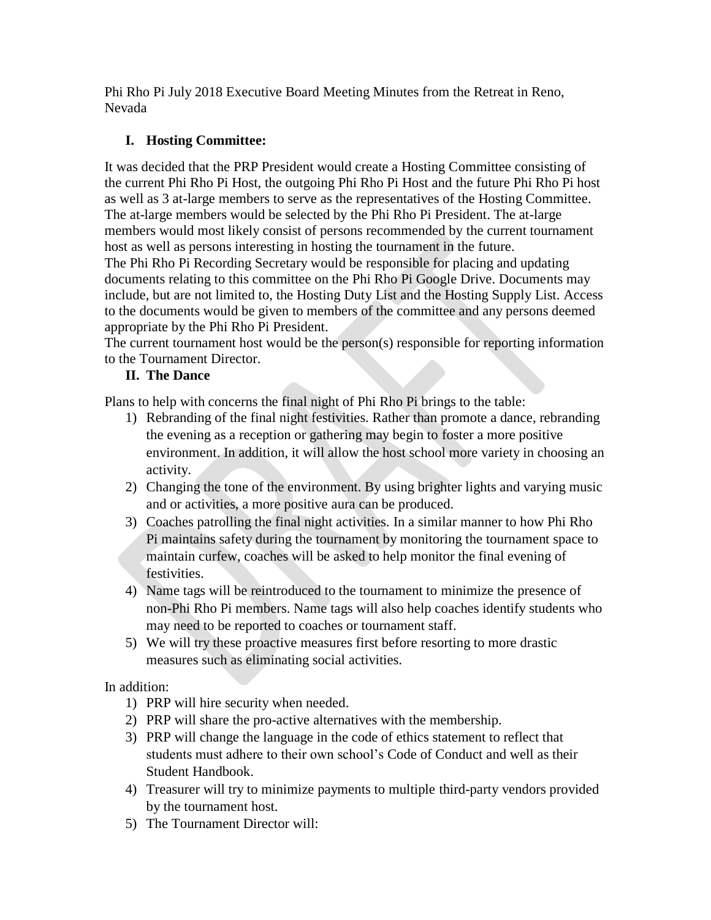Phi Rho Pi July 2018 Executive Board Meeting Minutes from the Retreat in Reno, Nevada

## **I. Hosting Committee:**

It was decided that the PRP President would create a Hosting Committee consisting of the current Phi Rho Pi Host, the outgoing Phi Rho Pi Host and the future Phi Rho Pi host as well as 3 at-large members to serve as the representatives of the Hosting Committee. The at-large members would be selected by the Phi Rho Pi President. The at-large members would most likely consist of persons recommended by the current tournament host as well as persons interesting in hosting the tournament in the future.

The Phi Rho Pi Recording Secretary would be responsible for placing and updating documents relating to this committee on the Phi Rho Pi Google Drive. Documents may include, but are not limited to, the Hosting Duty List and the Hosting Supply List. Access to the documents would be given to members of the committee and any persons deemed appropriate by the Phi Rho Pi President.

The current tournament host would be the person(s) responsible for reporting information to the Tournament Director.

### **II. The Dance**

Plans to help with concerns the final night of Phi Rho Pi brings to the table:

- 1) Rebranding of the final night festivities. Rather than promote a dance, rebranding the evening as a reception or gathering may begin to foster a more positive environment. In addition, it will allow the host school more variety in choosing an activity.
- 2) Changing the tone of the environment. By using brighter lights and varying music and or activities, a more positive aura can be produced.
- 3) Coaches patrolling the final night activities. In a similar manner to how Phi Rho Pi maintains safety during the tournament by monitoring the tournament space to maintain curfew, coaches will be asked to help monitor the final evening of festivities.
- 4) Name tags will be reintroduced to the tournament to minimize the presence of non-Phi Rho Pi members. Name tags will also help coaches identify students who may need to be reported to coaches or tournament staff.
- 5) We will try these proactive measures first before resorting to more drastic measures such as eliminating social activities.

In addition:

- 1) PRP will hire security when needed.
- 2) PRP will share the pro-active alternatives with the membership.
- 3) PRP will change the language in the code of ethics statement to reflect that students must adhere to their own school's Code of Conduct and well as their Student Handbook.
- 4) Treasurer will try to minimize payments to multiple third-party vendors provided by the tournament host.
- 5) The Tournament Director will: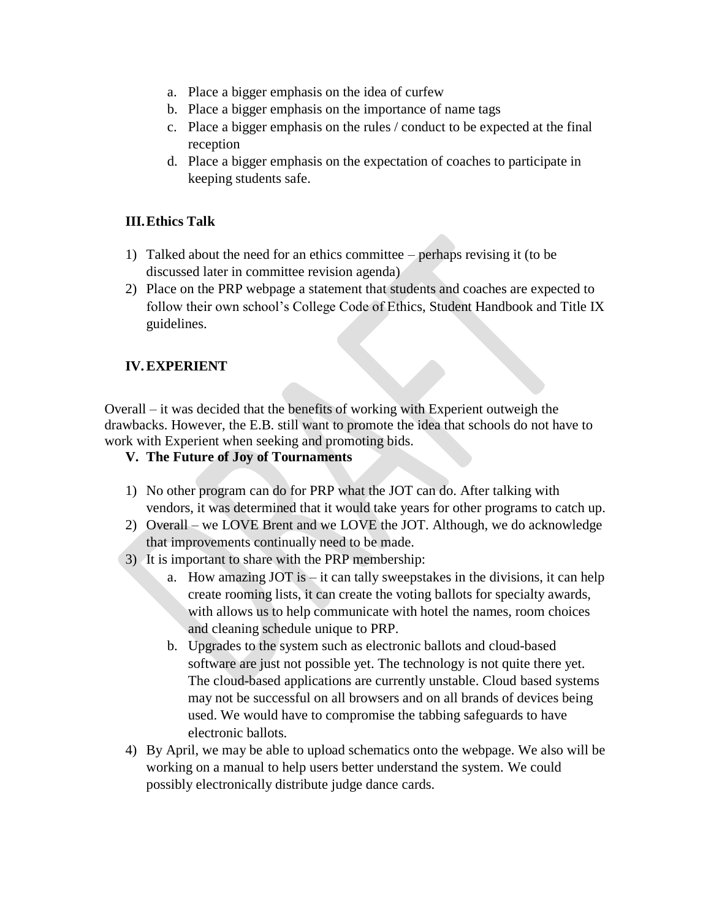- a. Place a bigger emphasis on the idea of curfew
- b. Place a bigger emphasis on the importance of name tags
- c. Place a bigger emphasis on the rules / conduct to be expected at the final reception
- d. Place a bigger emphasis on the expectation of coaches to participate in keeping students safe.

### **III.Ethics Talk**

- 1) Talked about the need for an ethics committee perhaps revising it (to be discussed later in committee revision agenda)
- 2) Place on the PRP webpage a statement that students and coaches are expected to follow their own school's College Code of Ethics, Student Handbook and Title IX guidelines.

## **IV.EXPERIENT**

Overall – it was decided that the benefits of working with Experient outweigh the drawbacks. However, the E.B. still want to promote the idea that schools do not have to work with Experient when seeking and promoting bids.

- **V. The Future of Joy of Tournaments**
- 1) No other program can do for PRP what the JOT can do. After talking with vendors, it was determined that it would take years for other programs to catch up.
- 2) Overall we LOVE Brent and we LOVE the JOT. Although, we do acknowledge that improvements continually need to be made.
- 3) It is important to share with the PRP membership:
	- a. How amazing JOT is  $-$  it can tally sweepstakes in the divisions, it can help create rooming lists, it can create the voting ballots for specialty awards, with allows us to help communicate with hotel the names, room choices and cleaning schedule unique to PRP.
	- b. Upgrades to the system such as electronic ballots and cloud-based software are just not possible yet. The technology is not quite there yet. The cloud-based applications are currently unstable. Cloud based systems may not be successful on all browsers and on all brands of devices being used. We would have to compromise the tabbing safeguards to have electronic ballots.
- 4) By April, we may be able to upload schematics onto the webpage. We also will be working on a manual to help users better understand the system. We could possibly electronically distribute judge dance cards.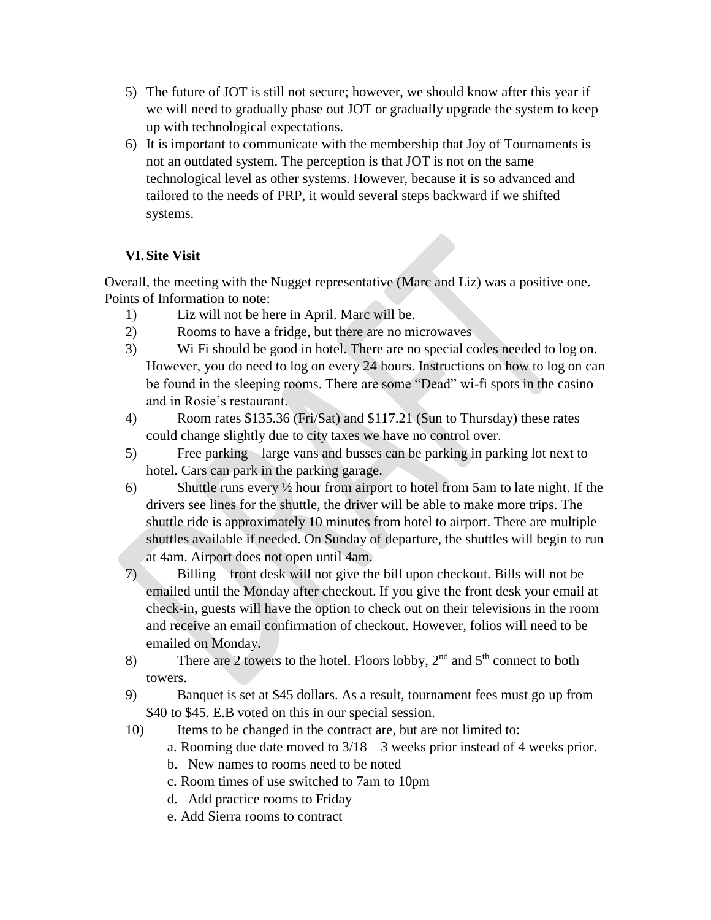- 5) The future of JOT is still not secure; however, we should know after this year if we will need to gradually phase out JOT or gradually upgrade the system to keep up with technological expectations.
- 6) It is important to communicate with the membership that Joy of Tournaments is not an outdated system. The perception is that JOT is not on the same technological level as other systems. However, because it is so advanced and tailored to the needs of PRP, it would several steps backward if we shifted systems.

# **VI. Site Visit**

Overall, the meeting with the Nugget representative (Marc and Liz) was a positive one. Points of Information to note:

- 1) Liz will not be here in April. Marc will be.
- 2) Rooms to have a fridge, but there are no microwaves
- 3) Wi Fi should be good in hotel. There are no special codes needed to log on. However, you do need to log on every 24 hours. Instructions on how to log on can be found in the sleeping rooms. There are some "Dead" wi-fi spots in the casino and in Rosie's restaurant.
- 4) Room rates \$135.36 (Fri/Sat) and \$117.21 (Sun to Thursday) these rates could change slightly due to city taxes we have no control over.
- 5) Free parking large vans and busses can be parking in parking lot next to hotel. Cars can park in the parking garage.
- 6) Shuttle runs every ½ hour from airport to hotel from 5am to late night. If the drivers see lines for the shuttle, the driver will be able to make more trips. The shuttle ride is approximately 10 minutes from hotel to airport. There are multiple shuttles available if needed. On Sunday of departure, the shuttles will begin to run at 4am. Airport does not open until 4am.
- 7) Billing front desk will not give the bill upon checkout. Bills will not be emailed until the Monday after checkout. If you give the front desk your email at check-in, guests will have the option to check out on their televisions in the room and receive an email confirmation of checkout. However, folios will need to be emailed on Monday.
- 8) There are 2 towers to the hotel. Floors lobby,  $2<sup>nd</sup>$  and  $5<sup>th</sup>$  connect to both towers.
- 9) Banquet is set at \$45 dollars. As a result, tournament fees must go up from \$40 to \$45. E.B voted on this in our special session.
- 10) Items to be changed in the contract are, but are not limited to:
	- a. Rooming due date moved to 3/18 3 weeks prior instead of 4 weeks prior.
	- b. New names to rooms need to be noted
	- c. Room times of use switched to 7am to 10pm
	- d. Add practice rooms to Friday
	- e. Add Sierra rooms to contract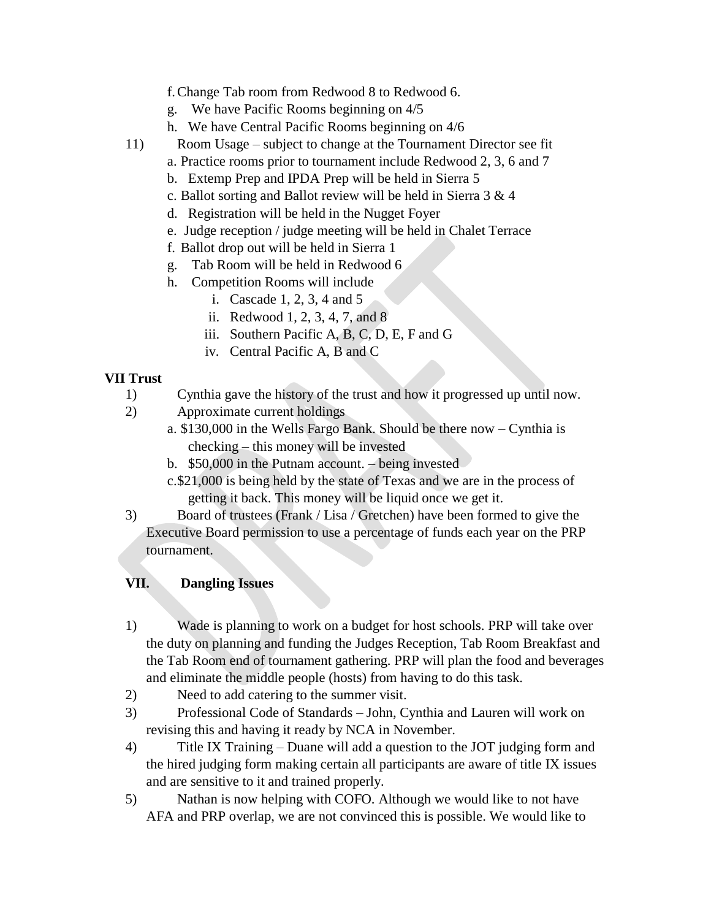### f.Change Tab room from Redwood 8 to Redwood 6.

- g. We have Pacific Rooms beginning on 4/5
- h. We have Central Pacific Rooms beginning on 4/6
- 11) Room Usage subject to change at the Tournament Director see fit
	- a. Practice rooms prior to tournament include Redwood 2, 3, 6 and 7
	- b. Extemp Prep and IPDA Prep will be held in Sierra 5
	- c. Ballot sorting and Ballot review will be held in Sierra 3 & 4
	- d. Registration will be held in the Nugget Foyer
	- e. Judge reception / judge meeting will be held in Chalet Terrace
	- f. Ballot drop out will be held in Sierra 1
	- g. Tab Room will be held in Redwood 6
	- h. Competition Rooms will include
		- i. Cascade 1, 2, 3, 4 and 5
		- ii. Redwood 1, 2, 3, 4, 7, and 8
		- iii. Southern Pacific A, B, C, D, E, F and G
		- iv. Central Pacific A, B and C

# **VII Trust**

- 1) Cynthia gave the history of the trust and how it progressed up until now.
- 2) Approximate current holdings
	- a. \$130,000 in the Wells Fargo Bank. Should be there now Cynthia is checking – this money will be invested
		- b. \$50,000 in the Putnam account. being invested
		- c.\$21,000 is being held by the state of Texas and we are in the process of getting it back. This money will be liquid once we get it.
- 3) Board of trustees (Frank / Lisa / Gretchen) have been formed to give the Executive Board permission to use a percentage of funds each year on the PRP tournament.

## **VII. Dangling Issues**

- 1) Wade is planning to work on a budget for host schools. PRP will take over the duty on planning and funding the Judges Reception, Tab Room Breakfast and the Tab Room end of tournament gathering. PRP will plan the food and beverages and eliminate the middle people (hosts) from having to do this task.
- 2) Need to add catering to the summer visit.
- 3) Professional Code of Standards John, Cynthia and Lauren will work on revising this and having it ready by NCA in November.
- 4) Title IX Training Duane will add a question to the JOT judging form and the hired judging form making certain all participants are aware of title IX issues and are sensitive to it and trained properly.
- 5) Nathan is now helping with COFO. Although we would like to not have AFA and PRP overlap, we are not convinced this is possible. We would like to